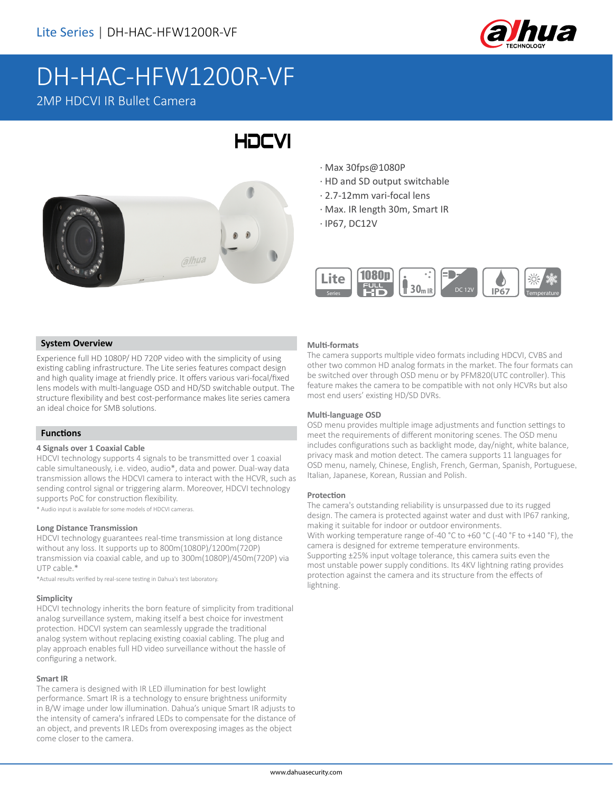

# DH-HAC-HFW1200R-VF 2MP HDCVI IR Bullet Camera

# **HDCVI**



- · Max 30fps@1080P
- · HD and SD output switchable
- · 2.7-12mm vari-focal lens
- · Max. IR length 30m, Smart IR
- · IP67, DC12V



#### **System Overview**

Experience full HD 1080P/ HD 720P video with the simplicity of using existing cabling infrastructure. The Lite series features compact design and high quality image at friendly price. It offers various vari-focal/fixed lens models with multi-language OSD and HD/SD switchable output. The structure flexibility and best cost-performance makes lite series camera an ideal choice for SMB solutions.

#### **Functions**

#### **4 Signals over 1 Coaxial Cable**

HDCVI technology supports 4 signals to be transmitted over 1 coaxial cable simultaneously, i.e. video, audio\*, data and power. Dual-way data transmission allows the HDCVI camera to interact with the HCVR, such as sending control signal or triggering alarm. Moreover, HDCVI technology supports PoC for construction flexibility.

\* Audio input is available for some models of HDCVI cameras.

#### **Long Distance Transmission**

HDCVI technology guarantees real-time transmission at long distance without any loss. It supports up to 800m(1080P)/1200m(720P) transmission via coaxial cable, and up to 300m(1080P)/450m(720P) via UTP cable.\*

\*Actual results verified by real-scene testing in Dahua's test laboratory.

#### **Simplicity**

HDCVI technology inherits the born feature of simplicity from traditional analog surveillance system, making itself a best choice for investment protection. HDCVI system can seamlessly upgrade the traditional analog system without replacing existing coaxial cabling. The plug and play approach enables full HD video surveillance without the hassle of configuring a network.

#### **Smart IR**

The camera is designed with IR LED illumination for best lowlight performance. Smart IR is a technology to ensure brightness uniformity in B/W image under low illumination. Dahua's unique Smart IR adjusts to the intensity of camera's infrared LEDs to compensate for the distance of an object, and prevents IR LEDs from overexposing images as the object come closer to the camera.

#### **Multi-formats**

The camera supports multiple video formats including HDCVI, CVBS and other two common HD analog formats in the market. The four formats can be switched over through OSD menu or by PFM820(UTC controller). This feature makes the camera to be compatible with not only HCVRs but also most end users' existing HD/SD DVRs.

#### **Multi-language OSD**

OSD menu provides multiple image adjustments and function settings to meet the requirements of different monitoring scenes. The OSD menu includes configurations such as backlight mode, day/night, white balance, privacy mask and motion detect. The camera supports 11 languages for OSD menu, namely, Chinese, English, French, German, Spanish, Portuguese, Italian, Japanese, Korean, Russian and Polish.

#### **Protection**

The camera's outstanding reliability is unsurpassed due to its rugged design. The camera is protected against water and dust with IP67 ranking, making it suitable for indoor or outdoor environments. With working temperature range of-40 °C to +60 °C (-40 °F to +140 °F), the camera is designed for extreme temperature environments. Supporting ±25% input voltage tolerance, this camera suits even the most unstable power supply conditions. Its 4KV lightning rating provides protection against the camera and its structure from the effects of lightning.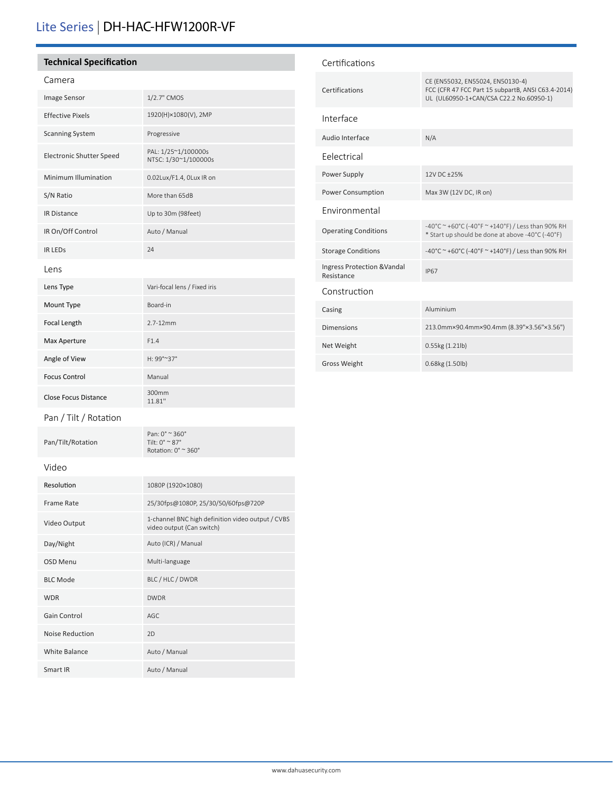# Lite Series | DH-HAC-HFW1200R-VF

### **Technical Specification**

## Camera

| Image Sensor                | 1/2.7" CMOS                                 |  |
|-----------------------------|---------------------------------------------|--|
| <b>Effective Pixels</b>     | 1920(H)×1080(V), 2MP                        |  |
| <b>Scanning System</b>      | Progressive                                 |  |
| Electronic Shutter Speed    | PAL: 1/25~1/100000s<br>NTSC: 1/30~1/100000s |  |
| Minimum Illumination        | 0.02Lux/F1.4, OLux IR on                    |  |
| S/N Ratio                   | More than 65dB                              |  |
| <b>IR Distance</b>          | Up to 30m (98feet)                          |  |
| IR On/Off Control           | Auto / Manual                               |  |
| <b>IR LEDS</b>              | 24                                          |  |
| Lens                        |                                             |  |
| Lens Type                   | Vari-focal lens / Fixed iris                |  |
| Mount Type                  | Board-in                                    |  |
| Focal Length                | $2.7 - 12$ mm                               |  |
| Max Aperture                | F1.4                                        |  |
| Angle of View               | H: 99°~37°                                  |  |
| <b>Focus Control</b>        | Manual                                      |  |
| <b>Close Focus Distance</b> | 300mm<br>11.81"                             |  |
| Pan / Tilt / Rotation       |                                             |  |

| Certifications                            |                                                                                                                                   |  |  |
|-------------------------------------------|-----------------------------------------------------------------------------------------------------------------------------------|--|--|
| Certifications                            | CE (EN55032, EN55024, EN50130-4)<br>FCC (CFR 47 FCC Part 15 subpartB, ANSI C63.4-2014)<br>UL (UL60950-1+CAN/CSA C22.2 No.60950-1) |  |  |
| Interface                                 |                                                                                                                                   |  |  |
| Audio Interface                           | N/A                                                                                                                               |  |  |
| Felectrical                               |                                                                                                                                   |  |  |
| Power Supply                              | 12V DC +25%                                                                                                                       |  |  |
| Power Consumption                         | Max 3W (12V DC, IR on)                                                                                                            |  |  |
| Environmental                             |                                                                                                                                   |  |  |
| <b>Operating Conditions</b>               | -40°C ~ +60°C (-40°F ~ +140°F) / Less than 90% RH<br>* Start up should be done at above -40°C (-40°F)                             |  |  |
| <b>Storage Conditions</b>                 | -40°C ~ +60°C (-40°F ~ +140°F) / Less than 90% RH                                                                                 |  |  |
| Ingress Protection & Vandal<br>Resistance | <b>IP67</b>                                                                                                                       |  |  |
| Construction                              |                                                                                                                                   |  |  |
| Casing                                    | Aluminium                                                                                                                         |  |  |
| <b>Dimensions</b>                         | 213.0mm×90.4mm×90.4mm (8.39"×3.56"×3.56")                                                                                         |  |  |
| Net Weight                                | 0.55kg (1.21lb)                                                                                                                   |  |  |
| <b>Gross Weight</b>                       | 0.68kg (1.50lb)                                                                                                                   |  |  |
|                                           |                                                                                                                                   |  |  |

Pan/Tilt/Rotation

Video

| Resolution           | 1080P (1920×1080)                                                              |
|----------------------|--------------------------------------------------------------------------------|
| Frame Rate           | 25/30fps@1080P, 25/30/50/60fps@720P                                            |
| Video Output         | 1-channel BNC high definition video output / CVBS<br>video output (Can switch) |
| Day/Night            | Auto (ICR) / Manual                                                            |
| <b>OSD Menu</b>      | Multi-language                                                                 |
| <b>BLC Mode</b>      | BLC / HLC / DWDR                                                               |
| <b>WDR</b>           | <b>DWDR</b>                                                                    |
| Gain Control         | AGC                                                                            |
| Noise Reduction      | 2D                                                                             |
| <b>White Balance</b> | Auto / Manual                                                                  |
| Smart IR             | Auto / Manual                                                                  |

Pan: 0° ~ 360° Tilt: 0° ~ 87° Rotation: 0° ~ 360°